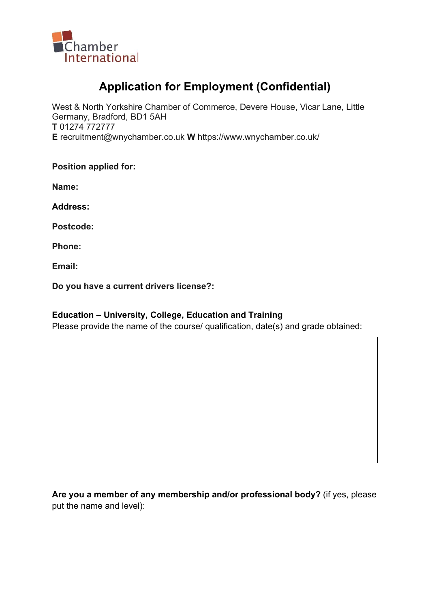

# Application for Employment (Confidential)

West & North Yorkshire Chamber of Commerce, Devere House, Vicar Lane, Little Germany, Bradford, BD1 5AH T 01274 772777 E recruitment@wnychamber.co.uk W https://www.wnychamber.co.uk/

Position applied for:

Name:

Address:

Postcode:

Phone:

Email:

Do you have a current drivers license?:

#### Education – University, College, Education and Training

Please provide the name of the course/ qualification, date(s) and grade obtained:

Are you a member of any membership and/or professional body? (if yes, please put the name and level):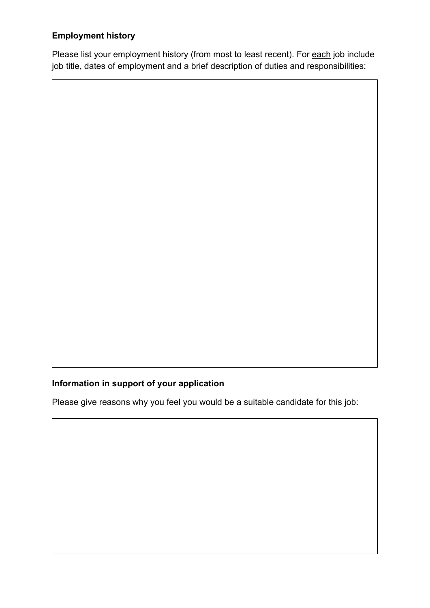## Employment history

Please list your employment history (from most to least recent). For each job include job title, dates of employment and a brief description of duties and responsibilities:

# Information in support of your application

Please give reasons why you feel you would be a suitable candidate for this job: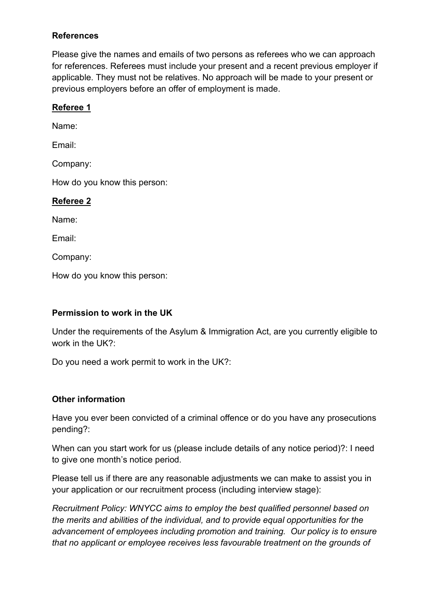#### **References**

Please give the names and emails of two persons as referees who we can approach for references. Referees must include your present and a recent previous employer if applicable. They must not be relatives. No approach will be made to your present or previous employers before an offer of employment is made.

#### Referee 1

Name:

Email:

Company:

How do you know this person:

#### Referee 2

Name:

Email:

Company:

How do you know this person:

#### Permission to work in the UK

Under the requirements of the Asylum & Immigration Act, are you currently eligible to work in the UK?:

Do you need a work permit to work in the UK?:

#### Other information

Have you ever been convicted of a criminal offence or do you have any prosecutions pending?:

When can you start work for us (please include details of any notice period)?: I need to give one month's notice period.

Please tell us if there are any reasonable adjustments we can make to assist you in your application or our recruitment process (including interview stage):

Recruitment Policy: WNYCC aims to employ the best qualified personnel based on the merits and abilities of the individual, and to provide equal opportunities for the advancement of employees including promotion and training. Our policy is to ensure that no applicant or employee receives less favourable treatment on the grounds of